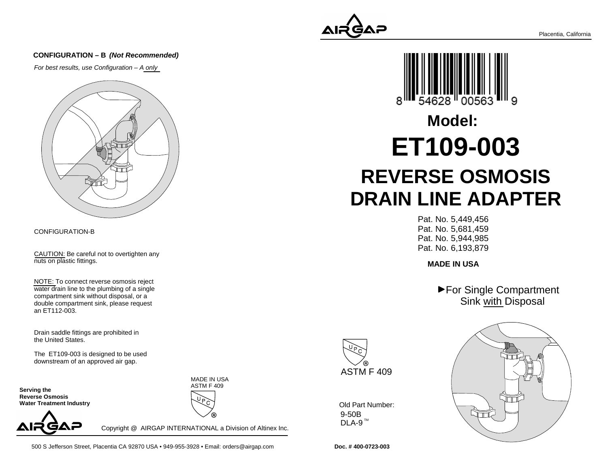

#### **CONFIGURATION – B (Not Recommended)**

For best results, use Configuration – A only



#### CONFIGURATION-B

CAUTION: Be careful not to overtighten anynuts on plastic fittings.

NOTE: To connect reverse osmosis reject water drain line to the plumbing of a singlecompartment sink without disposal, or a double compartment sink, please requestan ET112-003.

Drain saddle fittings are prohibited inthe United States.

The ET109-003 is designed to be useddownstream of an approved air gap.

**Serving the Reverse Osmosis Water Treatment Industry**



Copyright @ AIRGAP INTERNATIONAL a Division of Altinex Inc.

MADE IN USAASTM F 409



# **REVERSE OSMOSIS DRAIN LINE ADAPTERET109-003Model:**

Pat. No. 5,449,456 Pat. No. 5,681,459 Pat. No. 5,944,985Pat. No. 6,193,879

**MADE IN USA**

▶ For Single Compartment Sink with Disposal



9-50BDLA-9  $^{\text{\tiny{\textsf{TM}}}}$ Old Part Number:



**Doc. # 400-0723-003**